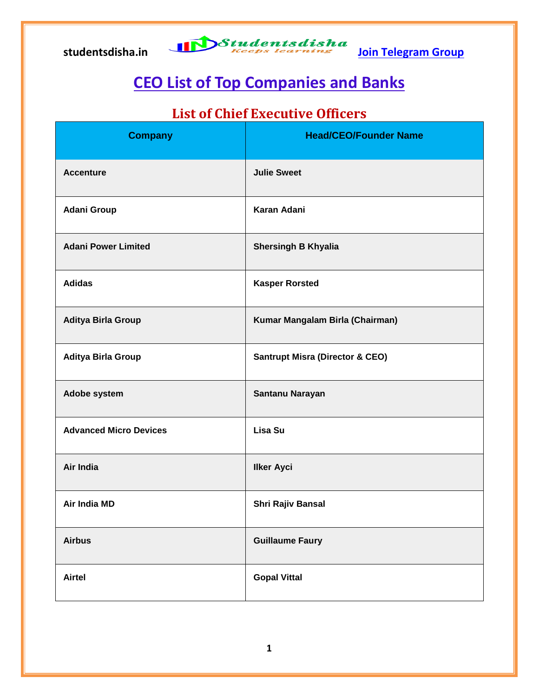

### **CEO List of Top Companies and Banks**

### **List of Chief Executive Officers**

| <b>Company</b>                | <b>Head/CEO/Founder Name</b>               |
|-------------------------------|--------------------------------------------|
| <b>Accenture</b>              | <b>Julie Sweet</b>                         |
| <b>Adani Group</b>            | <b>Karan Adani</b>                         |
| <b>Adani Power Limited</b>    | <b>Shersingh B Khyalia</b>                 |
| <b>Adidas</b>                 | <b>Kasper Rorsted</b>                      |
| Aditya Birla Group            | Kumar Mangalam Birla (Chairman)            |
| Aditya Birla Group            | <b>Santrupt Misra (Director &amp; CEO)</b> |
| Adobe system                  | Santanu Narayan                            |
| <b>Advanced Micro Devices</b> | Lisa Su                                    |
| Air India                     | <b>Ilker Ayci</b>                          |
| Air India MD                  | <b>Shri Rajiv Bansal</b>                   |
| <b>Airbus</b>                 | <b>Guillaume Faury</b>                     |
| <b>Airtel</b>                 | <b>Gopal Vittal</b>                        |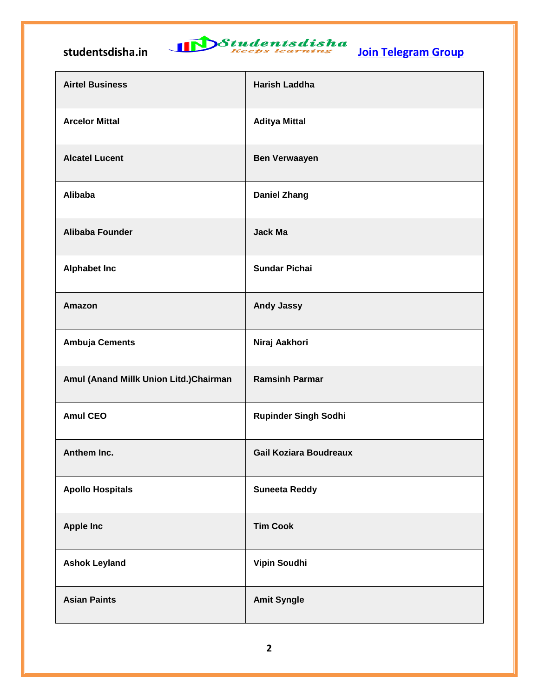# studentsdisha.in **International Studentsdisha**<br><u>Join Telegram Group</u>

| <b>Airtel Business</b>                 | <b>Harish Laddha</b>          |
|----------------------------------------|-------------------------------|
| <b>Arcelor Mittal</b>                  | <b>Aditya Mittal</b>          |
| <b>Alcatel Lucent</b>                  | <b>Ben Verwaayen</b>          |
| <b>Alibaba</b>                         | <b>Daniel Zhang</b>           |
| <b>Alibaba Founder</b>                 | <b>Jack Ma</b>                |
| <b>Alphabet Inc</b>                    | <b>Sundar Pichai</b>          |
| Amazon                                 | <b>Andy Jassy</b>             |
| <b>Ambuja Cements</b>                  | Niraj Aakhori                 |
| Amul (Anand Millk Union Litd.)Chairman | <b>Ramsinh Parmar</b>         |
| <b>Amul CEO</b>                        | <b>Rupinder Singh Sodhi</b>   |
| Anthem Inc.                            | <b>Gail Koziara Boudreaux</b> |
| <b>Apollo Hospitals</b>                | <b>Suneeta Reddy</b>          |
| <b>Apple Inc</b>                       | <b>Tim Cook</b>               |
| <b>Ashok Leyland</b>                   | Vipin Soudhi                  |
| <b>Asian Paints</b>                    | <b>Amit Syngle</b>            |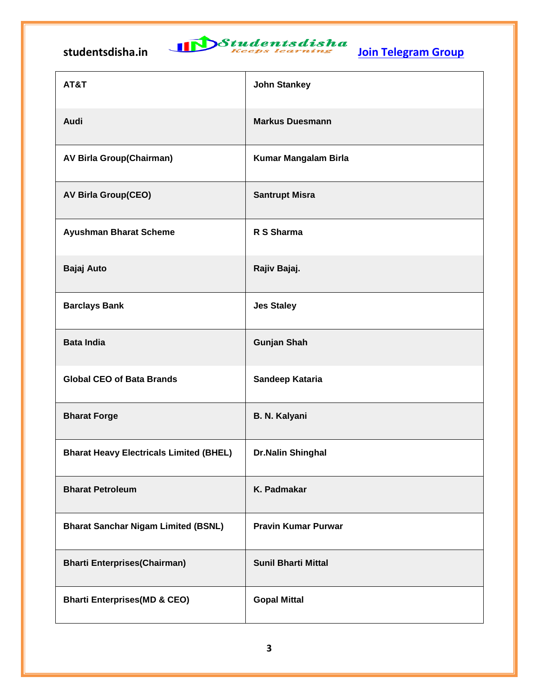

| AT&T                                           | <b>John Stankey</b>        |
|------------------------------------------------|----------------------------|
| Audi                                           | <b>Markus Duesmann</b>     |
| <b>AV Birla Group(Chairman)</b>                | Kumar Mangalam Birla       |
| <b>AV Birla Group(CEO)</b>                     | <b>Santrupt Misra</b>      |
| <b>Ayushman Bharat Scheme</b>                  | R S Sharma                 |
| Bajaj Auto                                     | Rajiv Bajaj.               |
| <b>Barclays Bank</b>                           | <b>Jes Staley</b>          |
| <b>Bata India</b>                              | <b>Gunjan Shah</b>         |
| <b>Global CEO of Bata Brands</b>               | Sandeep Kataria            |
| <b>Bharat Forge</b>                            | <b>B. N. Kalyani</b>       |
| <b>Bharat Heavy Electricals Limited (BHEL)</b> | <b>Dr.Nalin Shinghal</b>   |
| <b>Bharat Petroleum</b>                        | K. Padmakar                |
| <b>Bharat Sanchar Nigam Limited (BSNL)</b>     | <b>Pravin Kumar Purwar</b> |
| <b>Bharti Enterprises(Chairman)</b>            | <b>Sunil Bharti Mittal</b> |
| <b>Bharti Enterprises (MD &amp; CEO)</b>       | <b>Gopal Mittal</b>        |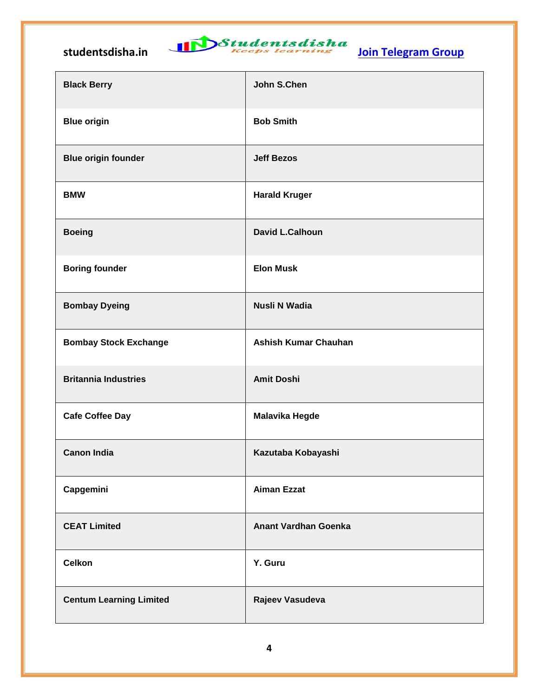# studentsdisha.in **International Studentsdisha**<br><u>Join Telegram Group</u>

| <b>Black Berry</b>             | John S.Chen                 |
|--------------------------------|-----------------------------|
| <b>Blue origin</b>             | <b>Bob Smith</b>            |
| <b>Blue origin founder</b>     | <b>Jeff Bezos</b>           |
| <b>BMW</b>                     | <b>Harald Kruger</b>        |
| <b>Boeing</b>                  | <b>David L.Calhoun</b>      |
| <b>Boring founder</b>          | <b>Elon Musk</b>            |
| <b>Bombay Dyeing</b>           | <b>Nusli N Wadia</b>        |
| <b>Bombay Stock Exchange</b>   | <b>Ashish Kumar Chauhan</b> |
| <b>Britannia Industries</b>    | <b>Amit Doshi</b>           |
| <b>Cafe Coffee Day</b>         | <b>Malavika Hegde</b>       |
| <b>Canon India</b>             | Kazutaba Kobayashi          |
| Capgemini                      | <b>Aiman Ezzat</b>          |
| <b>CEAT Limited</b>            | <b>Anant Vardhan Goenka</b> |
| <b>Celkon</b>                  | Y. Guru                     |
| <b>Centum Learning Limited</b> | Rajeev Vasudeva             |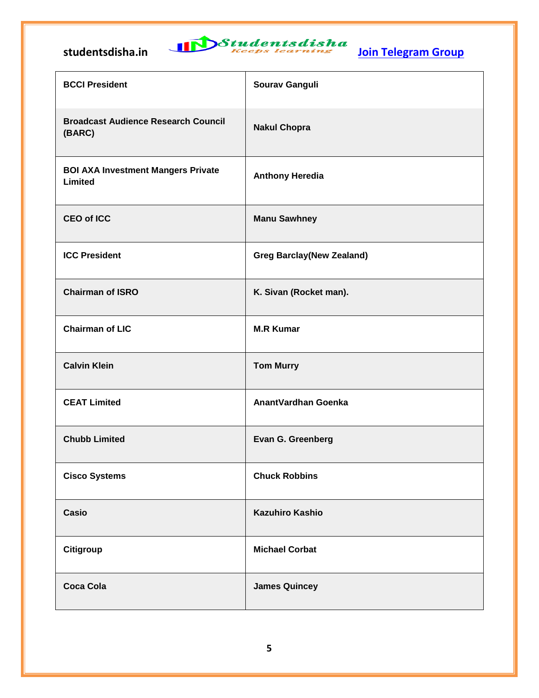

| <b>BCCI President</b>                                | Sourav Ganguli                   |
|------------------------------------------------------|----------------------------------|
| <b>Broadcast Audience Research Council</b><br>(BARC) | <b>Nakul Chopra</b>              |
| <b>BOI AXA Investment Mangers Private</b><br>Limited | <b>Anthony Heredia</b>           |
| <b>CEO of ICC</b>                                    | <b>Manu Sawhney</b>              |
| <b>ICC President</b>                                 | <b>Greg Barclay(New Zealand)</b> |
| <b>Chairman of ISRO</b>                              | K. Sivan (Rocket man).           |
| <b>Chairman of LIC</b>                               | <b>M.R Kumar</b>                 |
| <b>Calvin Klein</b>                                  | <b>Tom Murry</b>                 |
| <b>CEAT Limited</b>                                  | AnantVardhan Goenka              |
| <b>Chubb Limited</b>                                 | Evan G. Greenberg                |
| <b>Cisco Systems</b>                                 | <b>Chuck Robbins</b>             |
| Casio                                                | <b>Kazuhiro Kashio</b>           |
| Citigroup                                            | <b>Michael Corbat</b>            |
| <b>Coca Cola</b>                                     | <b>James Quincey</b>             |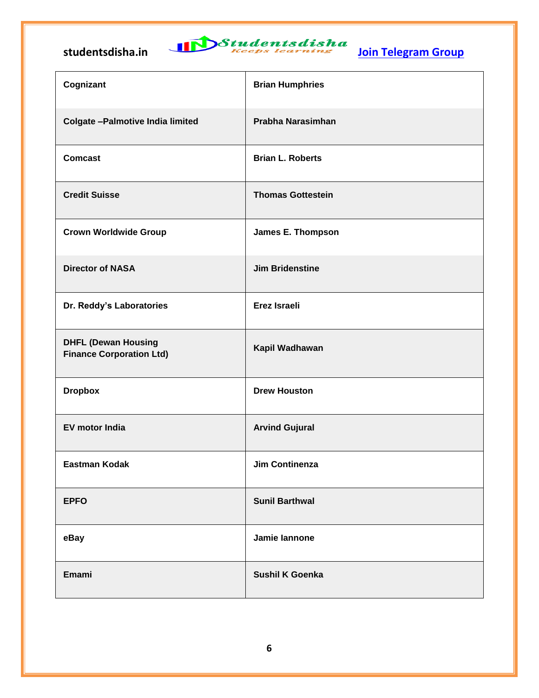

| Cognizant                                                     | <b>Brian Humphries</b>   |
|---------------------------------------------------------------|--------------------------|
| <b>Colgate - Palmotive India limited</b>                      | Prabha Narasimhan        |
| <b>Comcast</b>                                                | <b>Brian L. Roberts</b>  |
| <b>Credit Suisse</b>                                          | <b>Thomas Gottestein</b> |
| <b>Crown Worldwide Group</b>                                  | <b>James E. Thompson</b> |
| <b>Director of NASA</b>                                       | <b>Jim Bridenstine</b>   |
| Dr. Reddy's Laboratories                                      | Erez Israeli             |
| <b>DHFL (Dewan Housing</b><br><b>Finance Corporation Ltd)</b> | Kapil Wadhawan           |
| <b>Dropbox</b>                                                | <b>Drew Houston</b>      |
| <b>EV motor India</b>                                         | <b>Arvind Gujural</b>    |
| <b>Eastman Kodak</b>                                          | Jim Continenza           |
| <b>EPFO</b>                                                   | <b>Sunil Barthwal</b>    |
| eBay                                                          | Jamie lannone            |
| Emami                                                         | <b>Sushil K Goenka</b>   |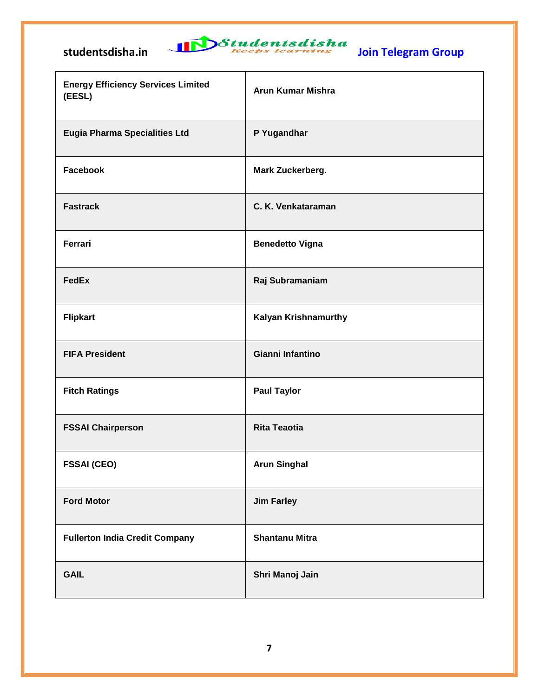

| <b>Energy Efficiency Services Limited</b><br>(EESL) | <b>Arun Kumar Mishra</b> |
|-----------------------------------------------------|--------------------------|
| <b>Eugia Pharma Specialities Ltd</b>                | P Yugandhar              |
| Facebook                                            | Mark Zuckerberg.         |
| <b>Fastrack</b>                                     | C. K. Venkataraman       |
| Ferrari                                             | <b>Benedetto Vigna</b>   |
| <b>FedEx</b>                                        | Raj Subramaniam          |
| <b>Flipkart</b>                                     | Kalyan Krishnamurthy     |
| <b>FIFA President</b>                               | Gianni Infantino         |
| <b>Fitch Ratings</b>                                | <b>Paul Taylor</b>       |
| <b>FSSAI Chairperson</b>                            | <b>Rita Teaotia</b>      |
| <b>FSSAI (CEO)</b>                                  | <b>Arun Singhal</b>      |
| <b>Ford Motor</b>                                   | <b>Jim Farley</b>        |
| <b>Fullerton India Credit Company</b>               | <b>Shantanu Mitra</b>    |
| <b>GAIL</b>                                         | Shri Manoj Jain          |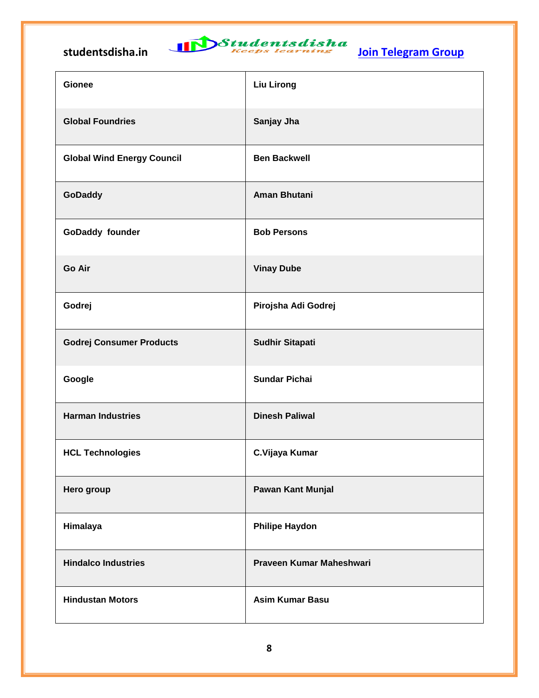

| <b>Gionee</b>                     | <b>Liu Lirong</b>        |
|-----------------------------------|--------------------------|
| <b>Global Foundries</b>           | Sanjay Jha               |
| <b>Global Wind Energy Council</b> | <b>Ben Backwell</b>      |
| GoDaddy                           | Aman Bhutani             |
| GoDaddy founder                   | <b>Bob Persons</b>       |
| Go Air                            | <b>Vinay Dube</b>        |
| Godrej                            | Pirojsha Adi Godrej      |
| <b>Godrej Consumer Products</b>   | <b>Sudhir Sitapati</b>   |
| Google                            | <b>Sundar Pichai</b>     |
| <b>Harman Industries</b>          | <b>Dinesh Paliwal</b>    |
| <b>HCL Technologies</b>           | C.Vijaya Kumar           |
| Hero group                        | Pawan Kant Munjal        |
| Himalaya                          | <b>Philipe Haydon</b>    |
| <b>Hindalco Industries</b>        | Praveen Kumar Maheshwari |
| <b>Hindustan Motors</b>           | <b>Asim Kumar Basu</b>   |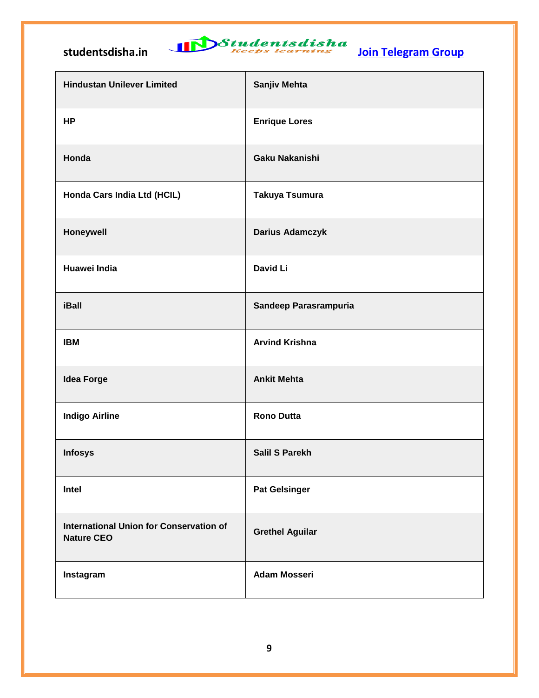

 $\mathcal{L}(\mathcal{A})$ 

| <b>Hindustan Unilever Limited</b>                                   | Sanjiv Mehta           |
|---------------------------------------------------------------------|------------------------|
| HP                                                                  | <b>Enrique Lores</b>   |
| Honda                                                               | Gaku Nakanishi         |
| Honda Cars India Ltd (HCIL)                                         | Takuya Tsumura         |
| Honeywell                                                           | <b>Darius Adamczyk</b> |
| Huawei India                                                        | <b>David Li</b>        |
| iBall                                                               | Sandeep Parasrampuria  |
| <b>IBM</b>                                                          | <b>Arvind Krishna</b>  |
| <b>Idea Forge</b>                                                   | <b>Ankit Mehta</b>     |
| <b>Indigo Airline</b>                                               | <b>Rono Dutta</b>      |
| <b>Infosys</b>                                                      | <b>Salil S Parekh</b>  |
| Intel                                                               | <b>Pat Gelsinger</b>   |
| <b>International Union for Conservation of</b><br><b>Nature CEO</b> | <b>Grethel Aguilar</b> |
| Instagram                                                           | <b>Adam Mosseri</b>    |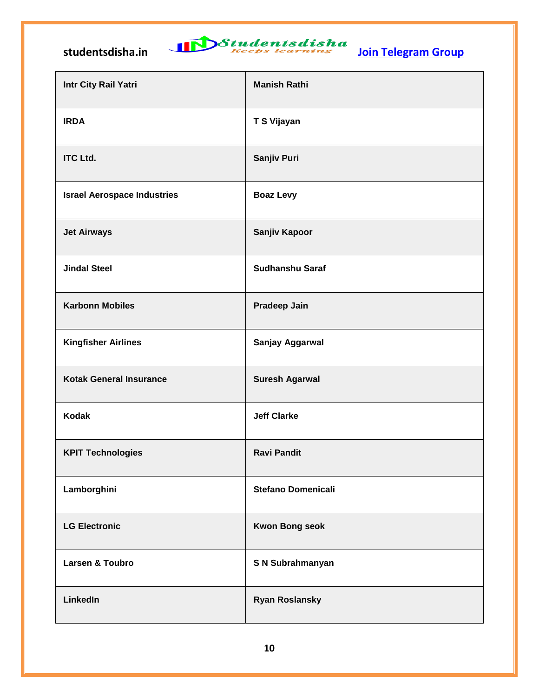# studentsdisha.in **International Studentsdisha**<br><u>Join Telegram Group</u>

| Intr City Rail Yatri               | <b>Manish Rathi</b>       |
|------------------------------------|---------------------------|
| <b>IRDA</b>                        | T S Vijayan               |
| <b>ITC Ltd.</b>                    | Sanjiv Puri               |
| <b>Israel Aerospace Industries</b> | <b>Boaz Levy</b>          |
| <b>Jet Airways</b>                 | Sanjiv Kapoor             |
| <b>Jindal Steel</b>                | <b>Sudhanshu Saraf</b>    |
| <b>Karbonn Mobiles</b>             | <b>Pradeep Jain</b>       |
| <b>Kingfisher Airlines</b>         | Sanjay Aggarwal           |
| <b>Kotak General Insurance</b>     | <b>Suresh Agarwal</b>     |
| <b>Kodak</b>                       | <b>Jeff Clarke</b>        |
| <b>KPIT Technologies</b>           | <b>Ravi Pandit</b>        |
| Lamborghini                        | <b>Stefano Domenicali</b> |
| <b>LG Electronic</b>               | <b>Kwon Bong seok</b>     |
| Larsen & Toubro                    | S N Subrahmanyan          |
| LinkedIn                           | <b>Ryan Roslansky</b>     |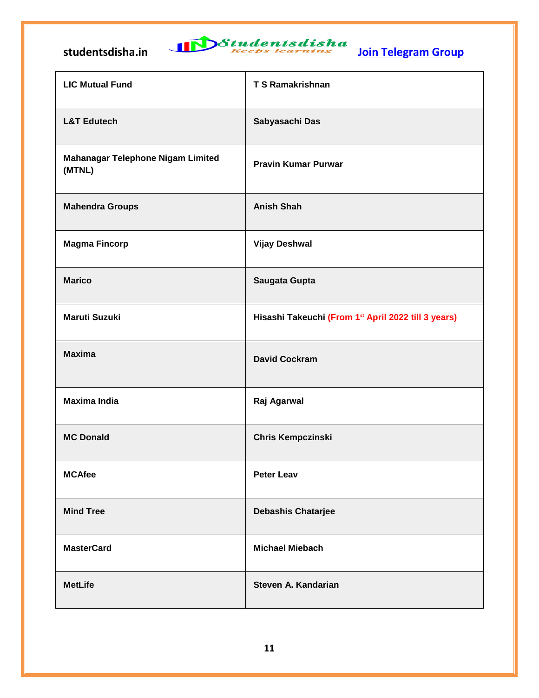

| <b>LIC Mutual Fund</b>                             | <b>T S Ramakrishnan</b>                             |
|----------------------------------------------------|-----------------------------------------------------|
| <b>L&amp;T Edutech</b>                             | Sabyasachi Das                                      |
| <b>Mahanagar Telephone Nigam Limited</b><br>(MTNL) | <b>Pravin Kumar Purwar</b>                          |
| <b>Mahendra Groups</b>                             | <b>Anish Shah</b>                                   |
| <b>Magma Fincorp</b>                               | <b>Vijay Deshwal</b>                                |
| <b>Marico</b>                                      | Saugata Gupta                                       |
| <b>Maruti Suzuki</b>                               | Hisashi Takeuchi (From 1st April 2022 till 3 years) |
| <b>Maxima</b>                                      | <b>David Cockram</b>                                |
| <b>Maxima India</b>                                | Raj Agarwal                                         |
| <b>MC Donald</b>                                   | <b>Chris Kempczinski</b>                            |
| <b>MCAfee</b>                                      | <b>Peter Leav</b>                                   |
| <b>Mind Tree</b>                                   | <b>Debashis Chatarjee</b>                           |
| <b>MasterCard</b>                                  | <b>Michael Miebach</b>                              |
| <b>MetLife</b>                                     | Steven A. Kandarian                                 |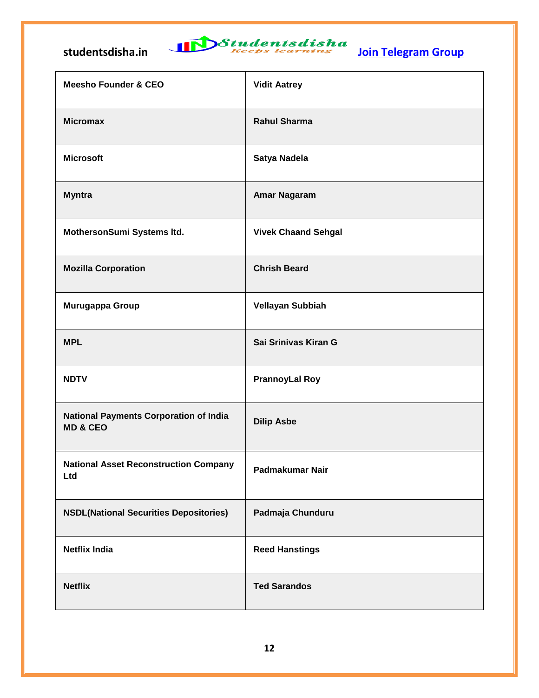

| <b>Meesho Founder &amp; CEO</b>                                      | <b>Vidit Aatrey</b>        |
|----------------------------------------------------------------------|----------------------------|
| <b>Micromax</b>                                                      | <b>Rahul Sharma</b>        |
| <b>Microsoft</b>                                                     | Satya Nadela               |
| <b>Myntra</b>                                                        | <b>Amar Nagaram</b>        |
| MothersonSumi Systems Itd.                                           | <b>Vivek Chaand Sehgal</b> |
| <b>Mozilla Corporation</b>                                           | <b>Chrish Beard</b>        |
| Murugappa Group                                                      | Vellayan Subbiah           |
| <b>MPL</b>                                                           | Sai Srinivas Kiran G       |
| <b>NDTV</b>                                                          | <b>PrannoyLal Roy</b>      |
| <b>National Payments Corporation of India</b><br><b>MD &amp; CEO</b> | <b>Dilip Asbe</b>          |
| <b>National Asset Reconstruction Company</b><br>Ltd                  | Padmakumar Nair            |
| <b>NSDL(National Securities Depositories)</b>                        | Padmaja Chunduru           |
| <b>Netflix India</b>                                                 | <b>Reed Hanstings</b>      |
| <b>Netflix</b>                                                       | <b>Ted Sarandos</b>        |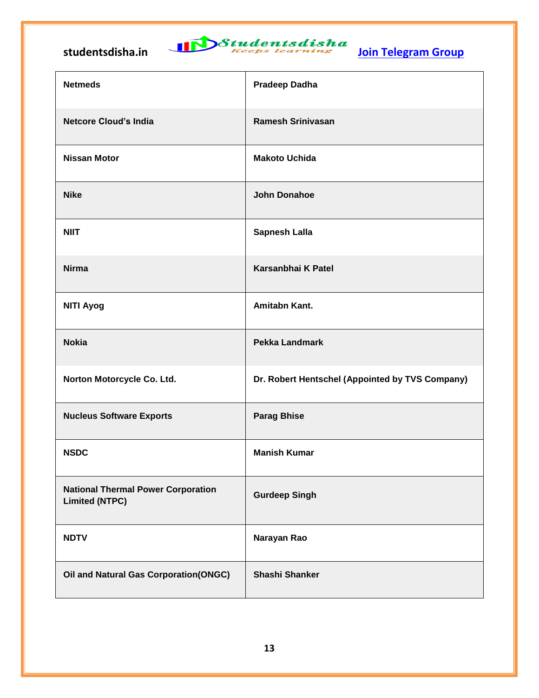

| <b>Netmeds</b>                                                     | <b>Pradeep Dadha</b>                            |
|--------------------------------------------------------------------|-------------------------------------------------|
| <b>Netcore Cloud's India</b>                                       | <b>Ramesh Srinivasan</b>                        |
| <b>Nissan Motor</b>                                                | <b>Makoto Uchida</b>                            |
| <b>Nike</b>                                                        | <b>John Donahoe</b>                             |
| <b>NIIT</b>                                                        | <b>Sapnesh Lalla</b>                            |
| <b>Nirma</b>                                                       | Karsanbhai K Patel                              |
| <b>NITI Ayog</b>                                                   | Amitabn Kant.                                   |
| <b>Nokia</b>                                                       | <b>Pekka Landmark</b>                           |
| Norton Motorcycle Co. Ltd.                                         | Dr. Robert Hentschel (Appointed by TVS Company) |
| <b>Nucleus Software Exports</b>                                    | <b>Parag Bhise</b>                              |
| <b>NSDC</b>                                                        | <b>Manish Kumar</b>                             |
| <b>National Thermal Power Corporation</b><br><b>Limited (NTPC)</b> | <b>Gurdeep Singh</b>                            |
| <b>NDTV</b>                                                        | Narayan Rao                                     |
| <b>Oil and Natural Gas Corporation (ONGC)</b>                      | <b>Shashi Shanker</b>                           |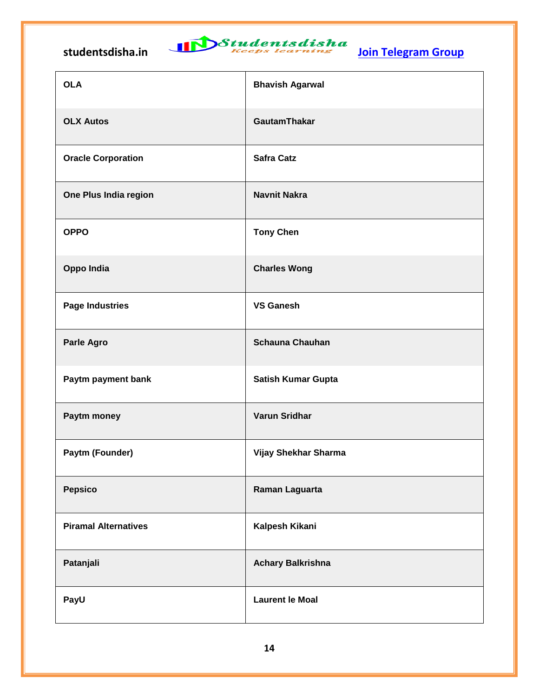| <b>OLA</b>                  | <b>Bhavish Agarwal</b>   |
|-----------------------------|--------------------------|
| <b>OLX Autos</b>            | <b>GautamThakar</b>      |
| <b>Oracle Corporation</b>   | <b>Safra Catz</b>        |
| One Plus India region       | <b>Navnit Nakra</b>      |
| <b>OPPO</b>                 | <b>Tony Chen</b>         |
| Oppo India                  | <b>Charles Wong</b>      |
| <b>Page Industries</b>      | <b>VS Ganesh</b>         |
| Parle Agro                  | <b>Schauna Chauhan</b>   |
| Paytm payment bank          | Satish Kumar Gupta       |
| Paytm money                 | Varun Sridhar            |
| Paytm (Founder)             | Vijay Shekhar Sharma     |
| <b>Pepsico</b>              | Raman Laguarta           |
| <b>Piramal Alternatives</b> | Kalpesh Kikani           |
| Patanjali                   | <b>Achary Balkrishna</b> |
| PayU                        | <b>Laurent le Moal</b>   |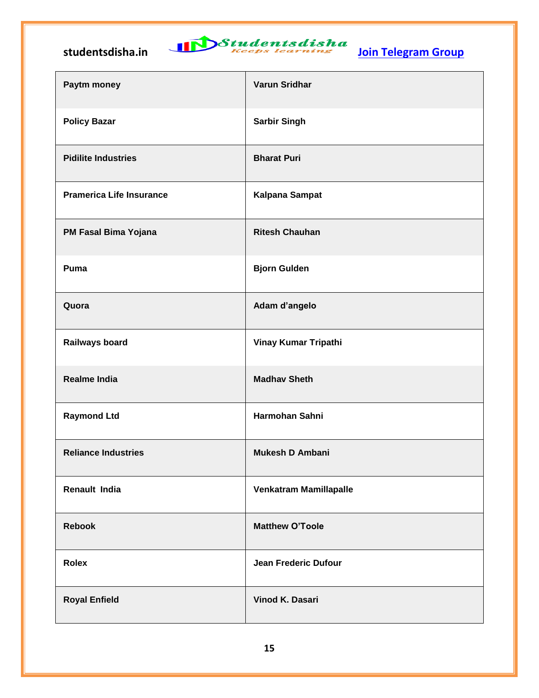| Paytm money                     | Varun Sridhar                 |
|---------------------------------|-------------------------------|
| <b>Policy Bazar</b>             | <b>Sarbir Singh</b>           |
| <b>Pidilite Industries</b>      | <b>Bharat Puri</b>            |
| <b>Pramerica Life Insurance</b> | Kalpana Sampat                |
| PM Fasal Bima Yojana            | <b>Ritesh Chauhan</b>         |
| Puma                            | <b>Bjorn Gulden</b>           |
| Quora                           | Adam d'angelo                 |
| Railways board                  | Vinay Kumar Tripathi          |
| <b>Realme India</b>             | <b>Madhav Sheth</b>           |
| <b>Raymond Ltd</b>              | Harmohan Sahni                |
| <b>Reliance Industries</b>      | <b>Mukesh D Ambani</b>        |
| Renault India                   | <b>Venkatram Mamillapalle</b> |
| <b>Rebook</b>                   | <b>Matthew O'Toole</b>        |
| <b>Rolex</b>                    | Jean Frederic Dufour          |
| <b>Royal Enfield</b>            | Vinod K. Dasari               |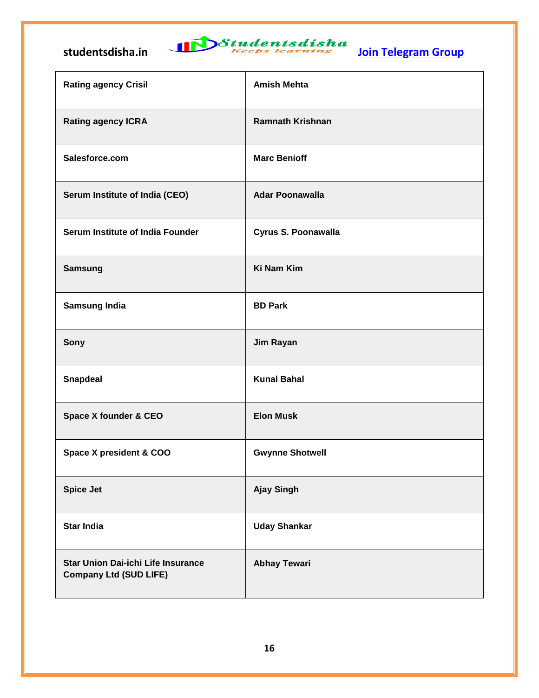

| <b>Rating agency Crisil</b>                                                | <b>Amish Mehta</b>      |
|----------------------------------------------------------------------------|-------------------------|
| <b>Rating agency ICRA</b>                                                  | <b>Ramnath Krishnan</b> |
| Salesforce.com                                                             | <b>Marc Benioff</b>     |
| Serum Institute of India (CEO)                                             | <b>Adar Poonawalla</b>  |
| Serum Institute of India Founder                                           | Cyrus S. Poonawalla     |
| <b>Samsung</b>                                                             | <b>Ki Nam Kim</b>       |
| <b>Samsung India</b>                                                       | <b>BD Park</b>          |
| Sony                                                                       | Jim Rayan               |
| <b>Snapdeal</b>                                                            | <b>Kunal Bahal</b>      |
| <b>Space X founder &amp; CEO</b>                                           | <b>Elon Musk</b>        |
| Space X president & COO                                                    | <b>Gwynne Shotwell</b>  |
| <b>Spice Jet</b>                                                           | <b>Ajay Singh</b>       |
| <b>Star India</b>                                                          | <b>Uday Shankar</b>     |
| <b>Star Union Dai-ichi Life Insurance</b><br><b>Company Ltd (SUD LIFE)</b> | <b>Abhay Tewari</b>     |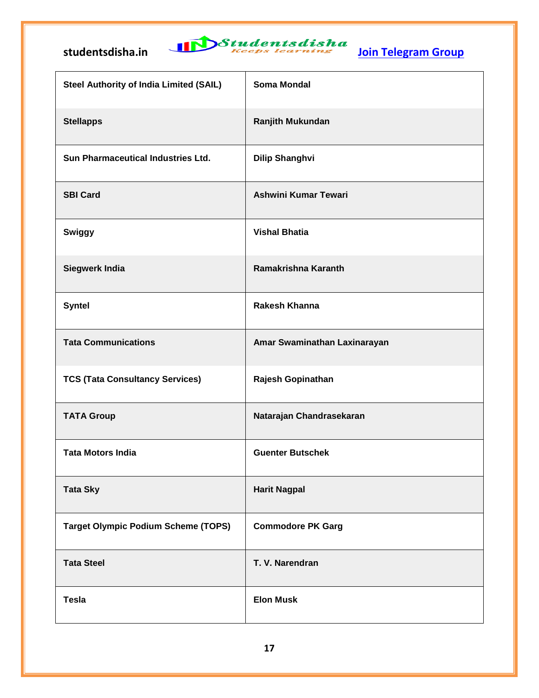

| <b>Steel Authority of India Limited (SAIL)</b> | <b>Soma Mondal</b>           |
|------------------------------------------------|------------------------------|
| <b>Stellapps</b>                               | Ranjith Mukundan             |
| Sun Pharmaceutical Industries Ltd.             | <b>Dilip Shanghvi</b>        |
| <b>SBI Card</b>                                | Ashwini Kumar Tewari         |
| Swiggy                                         | <b>Vishal Bhatia</b>         |
| <b>Siegwerk India</b>                          | Ramakrishna Karanth          |
| <b>Syntel</b>                                  | <b>Rakesh Khanna</b>         |
| <b>Tata Communications</b>                     | Amar Swaminathan Laxinarayan |
| <b>TCS (Tata Consultancy Services)</b>         | Rajesh Gopinathan            |
| <b>TATA Group</b>                              | Natarajan Chandrasekaran     |
| <b>Tata Motors India</b>                       | <b>Guenter Butschek</b>      |
| <b>Tata Sky</b>                                | <b>Harit Nagpal</b>          |
| <b>Target Olympic Podium Scheme (TOPS)</b>     | <b>Commodore PK Garg</b>     |
| <b>Tata Steel</b>                              | T. V. Narendran              |
| <b>Tesla</b>                                   | <b>Elon Musk</b>             |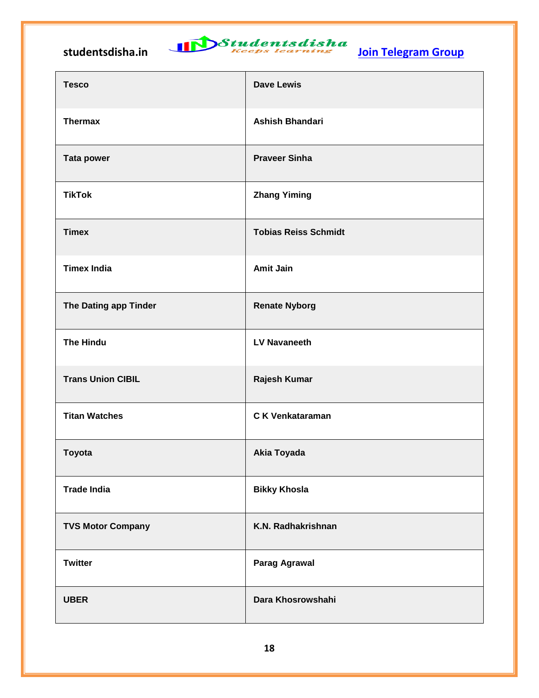

| <b>Tesco</b>             | <b>Dave Lewis</b>           |
|--------------------------|-----------------------------|
| <b>Thermax</b>           | <b>Ashish Bhandari</b>      |
| <b>Tata power</b>        | <b>Praveer Sinha</b>        |
| <b>TikTok</b>            | <b>Zhang Yiming</b>         |
| <b>Timex</b>             | <b>Tobias Reiss Schmidt</b> |
| <b>Timex India</b>       | <b>Amit Jain</b>            |
| The Dating app Tinder    | <b>Renate Nyborg</b>        |
| <b>The Hindu</b>         | <b>LV Navaneeth</b>         |
| <b>Trans Union CIBIL</b> | Rajesh Kumar                |
| <b>Titan Watches</b>     | <b>CK Venkataraman</b>      |
| <b>Toyota</b>            | <b>Akia Toyada</b>          |
| <b>Trade India</b>       | <b>Bikky Khosla</b>         |
| <b>TVS Motor Company</b> | K.N. Radhakrishnan          |
| <b>Twitter</b>           | <b>Parag Agrawal</b>        |
| <b>UBER</b>              | Dara Khosrowshahi           |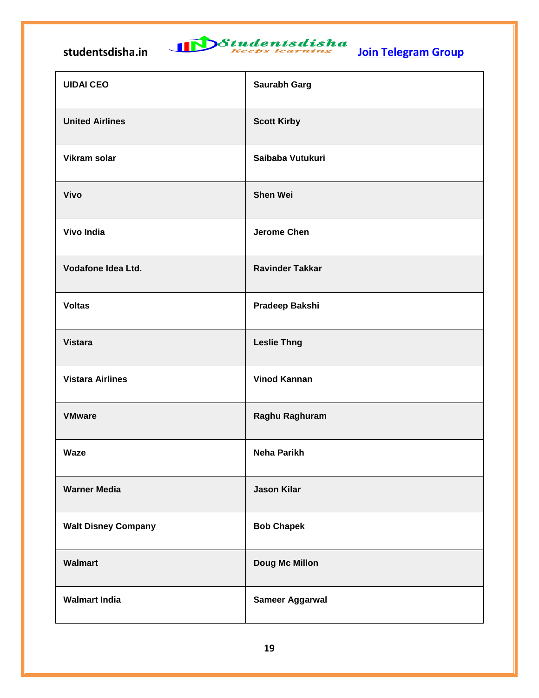| <b>UIDAI CEO</b>           | Saurabh Garg           |
|----------------------------|------------------------|
| <b>United Airlines</b>     | <b>Scott Kirby</b>     |
| <b>Vikram solar</b>        | Saibaba Vutukuri       |
| <b>Vivo</b>                | <b>Shen Wei</b>        |
| <b>Vivo India</b>          | <b>Jerome Chen</b>     |
| Vodafone Idea Ltd.         | <b>Ravinder Takkar</b> |
| <b>Voltas</b>              | Pradeep Bakshi         |
| <b>Vistara</b>             | <b>Leslie Thng</b>     |
| <b>Vistara Airlines</b>    | <b>Vinod Kannan</b>    |
| <b>VMware</b>              | Raghu Raghuram         |
| <b>Waze</b>                | <b>Neha Parikh</b>     |
| <b>Warner Media</b>        | <b>Jason Kilar</b>     |
| <b>Walt Disney Company</b> | <b>Bob Chapek</b>      |
| <b>Walmart</b>             | <b>Doug Mc Millon</b>  |
| <b>Walmart India</b>       | <b>Sameer Aggarwal</b> |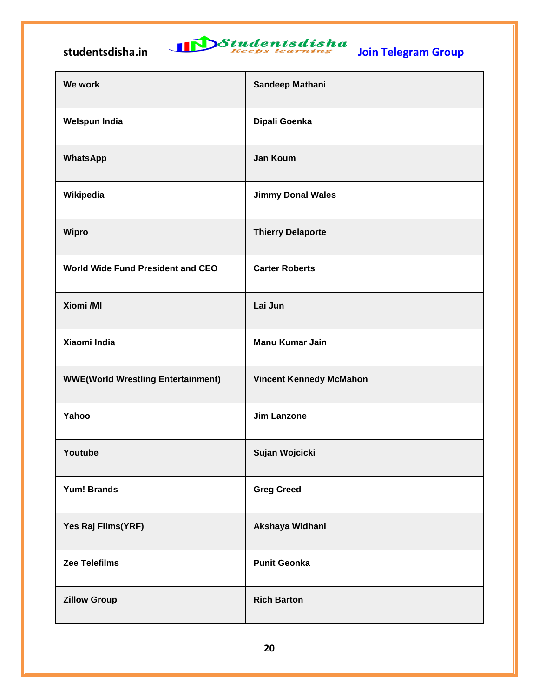

| We work                                   | Sandeep Mathani                |
|-------------------------------------------|--------------------------------|
| <b>Welspun India</b>                      | Dipali Goenka                  |
| <b>WhatsApp</b>                           | <b>Jan Koum</b>                |
| Wikipedia                                 | <b>Jimmy Donal Wales</b>       |
| <b>Wipro</b>                              | <b>Thierry Delaporte</b>       |
| <b>World Wide Fund President and CEO</b>  | <b>Carter Roberts</b>          |
| Xiomi /MI                                 | Lai Jun                        |
| Xiaomi India                              | <b>Manu Kumar Jain</b>         |
| <b>WWE(World Wrestling Entertainment)</b> | <b>Vincent Kennedy McMahon</b> |
| Yahoo                                     | <b>Jim Lanzone</b>             |
| Youtube                                   | Sujan Wojcicki                 |
| <b>Yum! Brands</b>                        | <b>Greg Creed</b>              |
| Yes Raj Films(YRF)                        | Akshaya Widhani                |
| <b>Zee Telefilms</b>                      | <b>Punit Geonka</b>            |
| <b>Zillow Group</b>                       | <b>Rich Barton</b>             |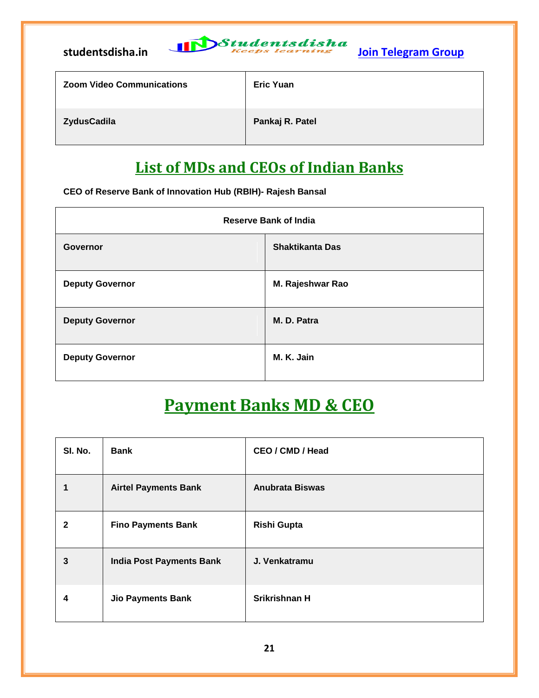

|  | <b>Zoom Video Communications</b> |  |
|--|----------------------------------|--|
|  |                                  |  |

*<u>Eric Yuan</u>* 

**ZydusCadila Pankaj R. Patel**

### **List of MDs and CEOs of Indian Banks**

**CEO of Reserve Bank of Innovation Hub (RBIH)- Rajesh Bansal**

| <b>Reserve Bank of India</b> |                        |
|------------------------------|------------------------|
| <b>Governor</b>              | <b>Shaktikanta Das</b> |
| <b>Deputy Governor</b>       | M. Rajeshwar Rao       |
| <b>Deputy Governor</b>       | M. D. Patra            |
| <b>Deputy Governor</b>       | M. K. Jain             |

### **Payment Banks MD & CEO**

| SI. No. | <b>Bank</b>                     | CEO / CMD / Head       |
|---------|---------------------------------|------------------------|
|         | <b>Airtel Payments Bank</b>     | <b>Anubrata Biswas</b> |
| 2       | <b>Fino Payments Bank</b>       | <b>Rishi Gupta</b>     |
| 3       | <b>India Post Payments Bank</b> | J. Venkatramu          |
| 4       | <b>Jio Payments Bank</b>        | Srikrishnan H          |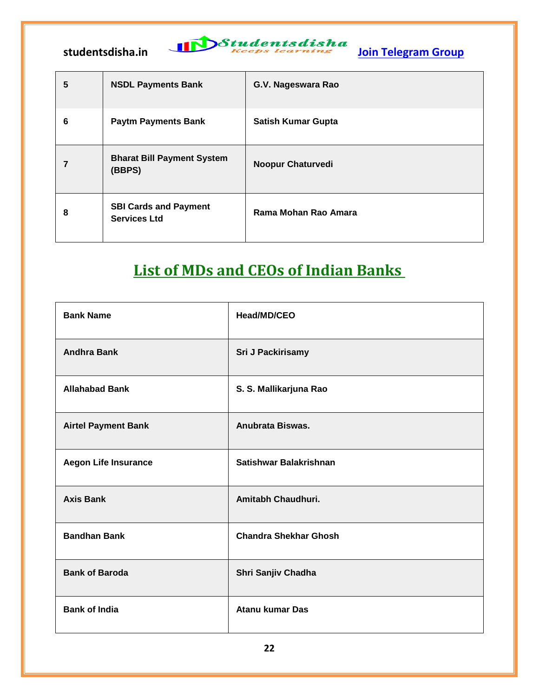$\mathbf{r}$ 

| 5 | <b>NSDL Payments Bank</b>                           | G.V. Nageswara Rao        |
|---|-----------------------------------------------------|---------------------------|
| 6 | <b>Paytm Payments Bank</b>                          | <b>Satish Kumar Gupta</b> |
| 7 | <b>Bharat Bill Payment System</b><br>(BBPS)         | <b>Noopur Chaturvedi</b>  |
| 8 | <b>SBI Cards and Payment</b><br><b>Services Ltd</b> | Rama Mohan Rao Amara      |

### **List of MDs and CEOs of Indian Banks**

| <b>Bank Name</b>            | Head/MD/CEO                  |
|-----------------------------|------------------------------|
| <b>Andhra Bank</b>          | Sri J Packirisamy            |
| <b>Allahabad Bank</b>       | S. S. Mallikarjuna Rao       |
| <b>Airtel Payment Bank</b>  | Anubrata Biswas.             |
| <b>Aegon Life Insurance</b> | Satishwar Balakrishnan       |
| <b>Axis Bank</b>            | Amitabh Chaudhuri.           |
| <b>Bandhan Bank</b>         | <b>Chandra Shekhar Ghosh</b> |
| <b>Bank of Baroda</b>       | Shri Sanjiv Chadha           |
| <b>Bank of India</b>        | <b>Atanu kumar Das</b>       |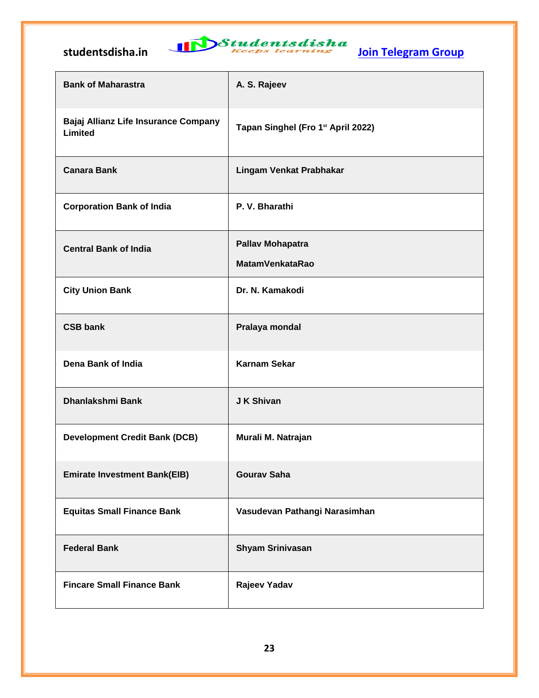

| <b>Bank of Maharastra</b>                       | A. S. Rajeev                       |
|-------------------------------------------------|------------------------------------|
| Bajaj Allianz Life Insurance Company<br>Limited | Tapan Singhel (Fro 1st April 2022) |
| <b>Canara Bank</b>                              | Lingam Venkat Prabhakar            |
| <b>Corporation Bank of India</b>                | P. V. Bharathi                     |
| <b>Central Bank of India</b>                    | <b>Pallav Mohapatra</b>            |
|                                                 | <b>MatamVenkataRao</b>             |
| <b>City Union Bank</b>                          | Dr. N. Kamakodi                    |
| <b>CSB bank</b>                                 | Pralaya mondal                     |
| Dena Bank of India                              | <b>Karnam Sekar</b>                |
| Dhanlakshmi Bank                                | J K Shivan                         |
| <b>Development Credit Bank (DCB)</b>            | Murali M. Natrajan                 |
| <b>Emirate Investment Bank(EIB)</b>             | <b>Gourav Saha</b>                 |
| <b>Equitas Small Finance Bank</b>               | Vasudevan Pathangi Narasimhan      |
| <b>Federal Bank</b>                             | <b>Shyam Srinivasan</b>            |
| <b>Fincare Small Finance Bank</b>               | Rajeev Yadav                       |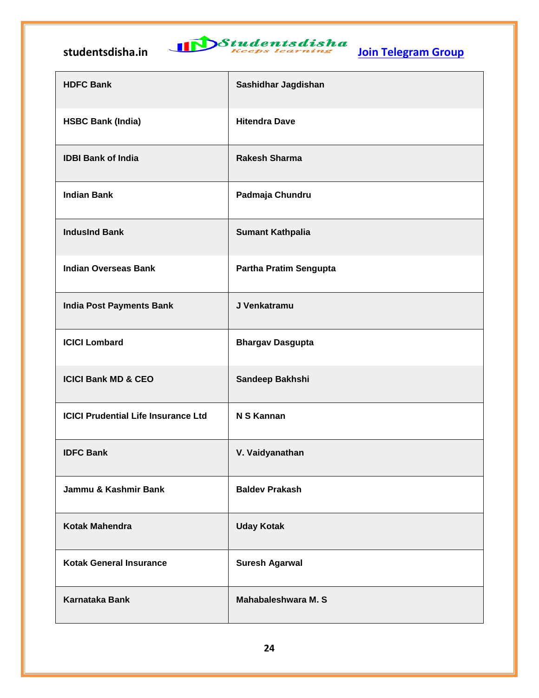| <b>HDFC Bank</b>                           | Sashidhar Jagdishan           |
|--------------------------------------------|-------------------------------|
| <b>HSBC Bank (India)</b>                   | <b>Hitendra Dave</b>          |
| <b>IDBI Bank of India</b>                  | <b>Rakesh Sharma</b>          |
| <b>Indian Bank</b>                         | Padmaja Chundru               |
| <b>IndusInd Bank</b>                       | <b>Sumant Kathpalia</b>       |
| <b>Indian Overseas Bank</b>                | <b>Partha Pratim Sengupta</b> |
| <b>India Post Payments Bank</b>            | J Venkatramu                  |
| <b>ICICI Lombard</b>                       | <b>Bhargav Dasgupta</b>       |
| <b>ICICI Bank MD &amp; CEO</b>             | Sandeep Bakhshi               |
| <b>ICICI Prudential Life Insurance Ltd</b> | N S Kannan                    |
| <b>IDFC Bank</b>                           | V. Vaidyanathan               |
| Jammu & Kashmir Bank                       | <b>Baldev Prakash</b>         |
| <b>Kotak Mahendra</b>                      | <b>Uday Kotak</b>             |
| <b>Kotak General Insurance</b>             | <b>Suresh Agarwal</b>         |
| <b>Karnataka Bank</b>                      | <b>Mahabaleshwara M.S</b>     |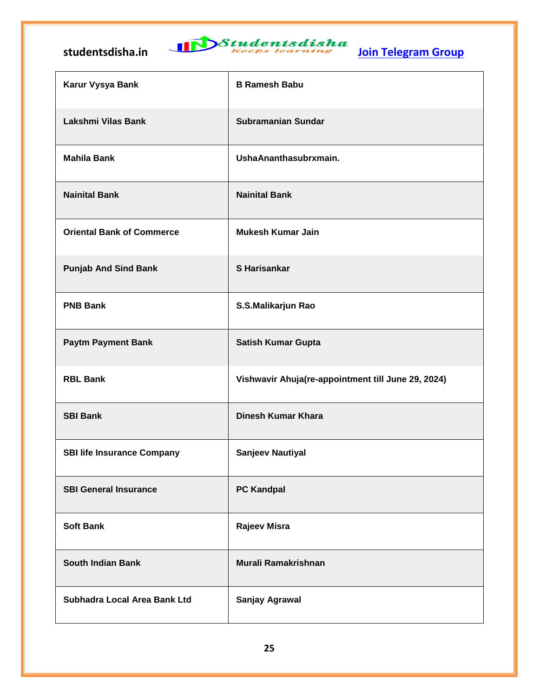

| Karur Vysya Bank                  | <b>B Ramesh Babu</b>                               |
|-----------------------------------|----------------------------------------------------|
| Lakshmi Vilas Bank                | <b>Subramanian Sundar</b>                          |
| <b>Mahila Bank</b>                | UshaAnanthasubrxmain.                              |
| <b>Nainital Bank</b>              | <b>Nainital Bank</b>                               |
| <b>Oriental Bank of Commerce</b>  | <b>Mukesh Kumar Jain</b>                           |
| <b>Punjab And Sind Bank</b>       | <b>S</b> Harisankar                                |
| <b>PNB Bank</b>                   | S.S.Malikarjun Rao                                 |
| <b>Paytm Payment Bank</b>         | <b>Satish Kumar Gupta</b>                          |
| <b>RBL Bank</b>                   | Vishwavir Ahuja(re-appointment till June 29, 2024) |
| <b>SBI Bank</b>                   | Dinesh Kumar Khara                                 |
| <b>SBI life Insurance Company</b> | <b>Sanjeev Nautiyal</b>                            |
| <b>SBI General Insurance</b>      | <b>PC Kandpal</b>                                  |
| <b>Soft Bank</b>                  | <b>Rajeev Misra</b>                                |
| <b>South Indian Bank</b>          | <b>Murali Ramakrishnan</b>                         |
| Subhadra Local Area Bank Ltd      | Sanjay Agrawal                                     |